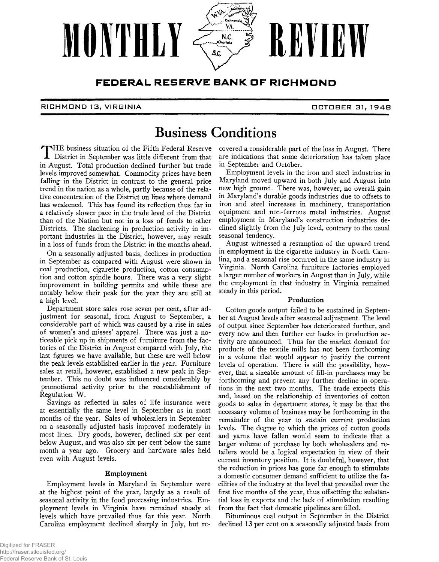

### FEDERAL RESERVE BANK OF RICHMOND

#### **RICHMOND 13, VIRGINIA □ C T Q B ER 31, 19 4 B**

# **Business Conditions**

District in September was little different from that in August. Total production declined further but trade levels improved somewhat. Commodity prices have been falling in the District in contrast to the general price trend in the nation as a whole, partly because of the relative concentration of the District on lines where demand has weakened. This has found its reflection thus far in a relatively slower pace in the trade level of the District than of the Nation but not in a loss of funds to other Districts. The slackening in production activity in important industries in the District, however, may result in a loss of funds from the District in the months ahead.

On a seasonally adjusted basis, declines in production in September as compared with August were shown in coal production, cigarette production, cotton consumption and cotton spindle hours. There was a very slight improvement in building permits and while these are notably below their peak for the year they are still at a high level.

Department store sales rose seven per cent, after adjustment for seasonal, from August to September, a considerable part of which was caused by a rise in sales of women's and misses' apparel. There was just a noticeable pick up in shipments of furniture from the factories of the District in August compared with July, the last figures we have available, but these are well below the peak levels established earlier in the year. Furniture sales at retail, however, established a new peak in September. This no doubt was influenced considerably by promotional activity prior to the reestablishment of Regulation W.

Savings as reflected in sales of life insurance were at essentially the same level in September as in most months of the year. Sales of wholesalers in September on a seasonally adjusted basis improved moderately in most lines. Dry goods, however, declined six per cent below August, and was also six per cent below the same month a year ago. Grocery and hardware sales held even with August levels.

### Employment

Employment levels in Maryland in September were at the highest point of the year, largely as a result of seasonal activity in the food processing industries. Employment levels in Virginia have remained steady at levels which have prevailed thus far this year. North Carolina employment declined sharply in July, but re-

THE business situation of the Fifth Federal Reserve covered a considerable part of the loss in August. There<br>District in September was little different from that are indications that some deterioration has taken place are indications that some deterioration has taken place in September and October.

Employment levels in the iron and steel industries in Maryland moved upward in both July and August into new high ground. There was, however, no overall gain in Maryland's durable goods industries due to offsets to iron and steel increases in machinery, transportation equipment and non-ferrous metal industries. August employment in Maryland's construction industries declined slightly from the July level, contrary to the usual seasonal tendency.

August witnessed a resumption of the upward trend in employment in the cigarette industry in North Carolina, and a seasonal rise occurred in the same industry in Virginia. North Carolina furniture factories employed a larger number of workers in August than in July, while the employment in that industry in Virginia remained steady in this period.

#### Production

Cotton goods output failed to be sustained in September at August levels after seasonal adjustment. The level of output since September has deteriorated further, and every now and then further cut backs in production activity are announced. Thus far the market demand for products of the textile mills has not been forthcoming in a volume that would appear to justify the current levels of operation. There is still the possibility, however, that a sizeable amount of fill-in purchases may be forthcoming and prevent any further decline in operations in the next two months. The trade expects this and, based on the relationship of inventories of cotton goods to sales in department stores, it may be that the necessary volume of business may be forthcoming in the remainder of the year to sustain current production levels. The degree to which the prices of cotton goods and yarns have fallen would seem to indicate that a larger volume of purchase by both wholesalers and retailers would be a logical expectation in view of their current inventory position. It is doubtful, however, that the reduction in prices has gone far enough to stimulate a domestic consumer demand sufficient to utilize the facilities of the industry at the level that prevailed over the first five months of the year, thus offsetting the substantial loss in exports and the lack of stimulation resulting from the fact that domestic pipelines are filled.

Bituminous coal output in September in the District declined 13 per cent on a seasonally adjusted basis from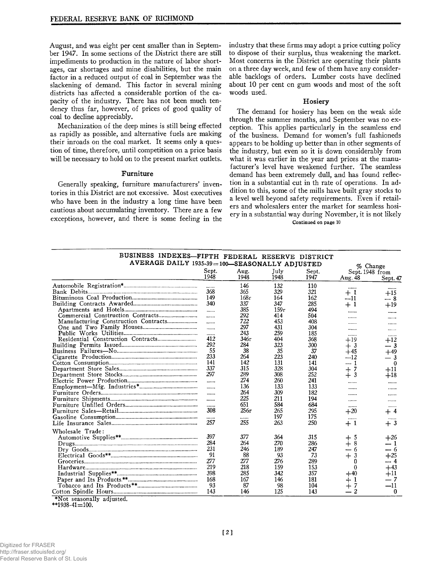August, and was eight per cent smaller than in September 1947. In some sections of the District there are still impediments to production in the nature of labor shortages, car shortages and mine disabilities, but the main factor in a reduced output of coal in September was the slackening of demand. This factor in several mining districts has affected a considerable portion of the capacity of the industry. There has not been much tendency thus far, however, of prices of good quality of coal to decline appreciably.

Mechanization of the deep mines is still being effected as rapidly as possible, and alternative fuels are making their inroads on the coal market. It seems only a question of time, therefore, until competition on a price basis will be necessary to hold on to the present market outlets.

#### **Furniture**

Generally speaking, furniture manufacturers' inventories in this District are not excessive. Most executives who have been in the industry a long time have been cautious about accumulating inventory. There are a few exceptions, however, and there is some feeling in the industry that these firms may adopt a price cutting policy to dispose of their surplus, thus weakening the market. Most concerns in the District are operating their plants on a three day week, and few of them have any considerable backlogs of orders. Lumber costs have declined about 10 per cent on gum woods and most of the soft woods used.

#### **Hosiery**

The demand for hosiery has been on the weak side through the summer months, and September was no exception. This applies particularly in the seamless end of the business. Demand for women's full fashioneds appears to be holding up better than in other segments of the industry, but even so it is down considerably from what it was earlier in the year and prices at the manufacturer's level have weakened further. The seamless demand has been extremely dull, and has found reflection in a substantial cut in th rate of operations. In addition to this, some of the mills have built gray stocks to a level well beyond safety requirements. Even if retailers and wholesalers enter the market for seamless hosiery in a substantial way during November, it is not likely Continued on page 10

| BUSINESS INDEXES-FIFTH FEDERAL RESERVE DISTRICT |                          |      |      |       |                 |            |
|-------------------------------------------------|--------------------------|------|------|-------|-----------------|------------|
| AVERAGE DAILY 1935-39=100-SEASONALLY ADJUSTED   |                          |      |      |       |                 | $%$ Change |
|                                                 | Sept.                    | Aug. | July | Sept. | Sept. 1948 from |            |
|                                                 | 1948                     | 1948 | 1948 | 1947  | Aug. 48         | Sept. 47   |
|                                                 |                          | 146  | 132  | 110   |                 |            |
|                                                 | 368                      | 365  | 329  | 321   | ------<br>$+1$  | <br>$+15$  |
|                                                 | 149                      | 168r | 164  | 162   | --11            | -- 8       |
|                                                 | 340                      | 337  | 347  | 285   | $+1$            | $+19$      |
|                                                 | $\cdots$                 | 385  | 159r | 494   |                 |            |
|                                                 | $\cdots$                 | 292  | 414  | 504   |                 | ------     |
|                                                 |                          | 722  | 453  | 408   |                 |            |
|                                                 | $\overline{\phantom{a}}$ | 297  | 431  | 304   |                 | ------     |
|                                                 |                          | 243  | 259  | 185   | ------          |            |
|                                                 | 412                      | 346r | 404  | 368   |                 | ------     |
|                                                 | 292                      | 284  | 323  | 300   | $+19$           | $+12$      |
|                                                 | 55                       | 38   | 35   | 37    | $+3$            | -- 3       |
|                                                 | 233                      | 264  | 223  | 240   | $+45$           | $+49$      |
|                                                 | 141                      | 142  | 131  | 141   | ---12<br>— 1    | $-3$       |
|                                                 | 337                      | 315  | 328  | 304   |                 | $\Omega$   |
|                                                 | 297                      | 289  | 308  | 252   | 7<br>$+$        | $+11$      |
|                                                 |                          | 274  | 260  |       | 3<br>$+$        | $+18$      |
|                                                 | 1.1.1.1                  |      |      | 241   |                 |            |
|                                                 |                          | 136  | 133  | 133   | ------          |            |
|                                                 |                          | 264  | 309  | 182   | .               |            |
|                                                 |                          | 225  | 211  | 194   | ------          |            |
|                                                 | 1.1.1.1                  | 651  | 584  | 684   |                 |            |
|                                                 | .308                     | 256r | 265  | 295   | $+20$           | $+$ 4      |
|                                                 |                          |      | 197  | 175   |                 |            |
|                                                 | 257                      | 255  | 263  | 250   | $+1$            | $+3$       |
| Wholesale Trade:                                |                          |      |      |       |                 |            |
|                                                 | 397                      | 377  | 364  | 315   | 5<br>┿          | $+26$      |
|                                                 | 284                      | 264  | 270  | 286   | 8<br>$+$        | - 1        |
|                                                 | 231                      | 246  | 189  | 247   | -6              | -- 6       |
|                                                 | 91                       | 88   | 93   | 73    | 3<br>$+$        | $+25$      |
|                                                 | 277                      | 277  | 276  | 289   | 0               | -- 4       |
|                                                 | 219                      | 218  | 159  | 153   | $\theta$        | $+43$      |
|                                                 | 398                      | 285  | 342  | 357   | $+40$           | +11        |
|                                                 | 168                      | 167  | 146  | 181   | $+1$            | . 7        |
|                                                 | 93                       | 87   | 98   | 104   | $\mathrm{+}$    | $-11$      |
|                                                 | 143                      | 146  | 125  | 143   | 2               | 0          |
| *Not seasonally adjusted.                       |                          |      |      |       |                 |            |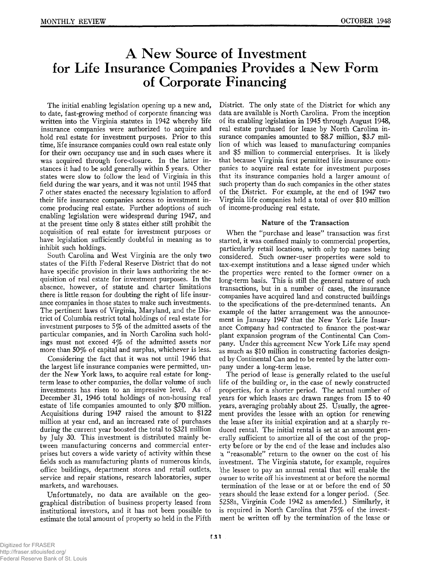# **A New Source of Investment for Life Insurance Companies Provides a New Form of Corporate Financing**

The initial enabling legislation opening up a new and, to date, fast-growing method of corporate financing was written into the Virginia statutes in 1942 whereby life insurance companies were authorized to acquire and hold real estate for investment purposes. Prior to this time, life insurance companies could own real estate only for their own occupancy use and in such cases where it was acquired through fore-closure. In the latter instances it had to be sold generally within 5 years. Other states were slow to follow the lead of Virginia in this field during the war years, and it was not until 1945 that 7 other states enacted the necessary legislation to afford their life insurance companies access to investment income producing real estate. Further adoptions of such enabling legislation were widespread during 1947, and at the present time only 8 states either still prohibit the acquisition of real estate for investment purposes or have legislation sufficiently doubtful in meaning as to inhibit such holdings.

South Carolina and West Virginia are the only two states of the Fifth Federal Reserve District that do not have specific provision in their laws authorizing the acquisition of real estate for investment purposes. In the absence, however, of statute and charter limitations there is little reason for doubting the right of life insurance companies in those states to make such investments. The pertinent laws of Virginia, Maryland, and the District of Columbia restrict total holdings of real estate for investment purposes to 5% of the admitted assets of the particular companies, and in North Carolina such holdings must not exceed 4% of the admitted assets nor more than 50% of capital and surplus, whichever is less.

Considering the fact that it was not until 1946 that the largest life insurance companies were permitted, under the New York laws, to acquire real estate for longterm lease to other companies, the dollar volume of such investments has risen to an impressive level. As of December 31, 1946 total holdings of non-housing real estate of life companies amounted to only \$70 million. Acquisitions during 1947 raised the amount to \$122 million at year end, and an increased rate of purchases during the current year boosted the total to \$321 million by July 30. This investment is distributed mainly between manufacturing concerns and commercial enterprises but covers a wide variety of activity within these fields such as manufacturing plants of numerous kinds, office buildings, department stores and retail outlets, service and repair stations, research laboratories, super markets, and warehouses.

Unfortunately, no data are available on the geographical distribution of business property leased from institutional investors, and it has not been possible to estimate the total amount of property so held in the Fifth

District. The only state of the District for which any data are available is North Carolina. From the inception of its enabling legislation in 1945 through August 1948, real estate purchased for lease by North Carolina insurance companies amounted to \$8.7 million, \$3.7 million of which was leased to manufacturing companies and \$5 million to commercial enterprises. It is likely that because Virginia first permitted life insurance companies to acquire real estate for investment purposes that its insurance companies hold a larger amount of such property than do such companies in the other states of the District. For example, at the end of 1947 two Virginia life companies held a total of over \$10 million of income-producing real estate.

#### Nature of the Transaction

When the "purchase and lease" transaction was first started, it was confined mainly to commercial properties, particularly retail locations, with only top names being considered. Such owner-user properties were sold to tax-exempt institutions and a lease signed under which the properties were rented to the former owner on a long-term basis. This is still the general nature of such transactions, but in a number of cases, the insurance companies have acquired land and constructed buildings to the specifications of the pre-determined tenants. An example of the latter arrangement was the announcement in January 1947 that the New York Life Insurance Company had contracted to finance the post-war plant expansion program of the Continental Can Company. Under this agreement New York Life may spend as much as \$10 million in constructing factories designed by Continental Can and to be rented by the latter company under a long-term lease.

The period of lease is generally related to the useful life of the building or, in the case of newly constructed properties, for a shorter period. The actual number of years for which leases are drawn ranges from 15 to 40 years, averaging probably about 25. Usually, the agreement provides the lessee with an option for renewing the lease after its initial expiration and at a sharply reduced rental. The initial rental is set at an amount generally sufficient to amortize all of the cost of the property before or by the end of the lease and includes also a " reasonable" return to the owner on the cost of his investment. The Virginia statute, for example, requires !the lessee to pay an annual rental that will enable the owner to write off his investment at or before the normal termination of the lease or at or before the end of 50 years should the lease extend for a longer period. (Sec. 5258a, Virginia Code 1942 as amended.) Similarly, it is required in North Carolina that 75% of the investment be written off by the termination of the lease or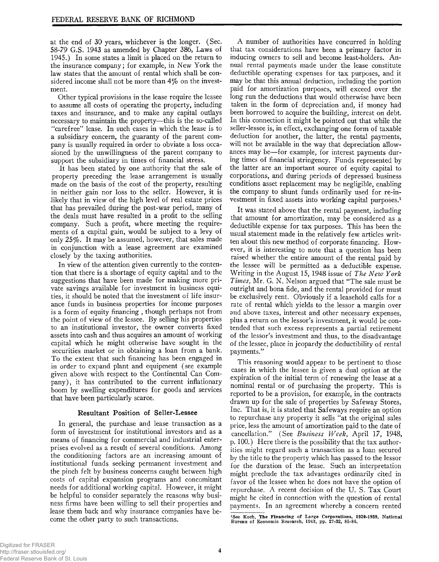at the end of 30 years, whichever is the longer. (Sec. 58-79 G.S. 1943 as amended by Chapter 386, Laws of 1945.) In some states a limit is placed on the return to the insurance company; for example, in New York the law states that the amount of rental which shall be considered income shall not be more than *4%* on the investment.

Other typical provisions in the lease require the lessee to assume all costs of operating the property, including taxes and insurance, and to make any capital outlays necessary to maintain the property—this is the so-called " carefree" lease. In such cases in which the lease is to a subsidiary concern, the guaranty of the parent company is usually required in order to obviate a loss occasioned by the unwillingness of the parent company to support the subsidiary in times of financial stress.

It has been stated by one authority that the sale of property preceding the lease arrangement is usually made on the basis of the cost of the property, resulting in neither gain nor loss to the seller. However, it is likely that in view of the high level of real estate prices that has prevailed during the post-war period, many of the deals must have resulted in a profit to the selling company. Such a profit, where meeting the requirements of a capital gain, would be subject to a levy of only 25%. It may be assumed, however, that sales made in conjunction with a lease agreement are examined closely by the taxing authorities.

In view of the attention given currently to the contention that there is a shortage of equity capital and to the suggestions that have been made for making more private savings available for investment in business equities, it should be noted that the investment of life insurance funds in business properties for income purposes is a form of equity financing , though perhaps not from the point of view of the lessee. By selling his properties to an institutional investor, the owner converts fixed assets into cash and thus acquires an amount of working capital which he might otherwise have sought in the securities market or in obtaining a loan from a bank. To the extent that such financing has been engaged in in order to expand plant and equipment (see example given above with respect to the Continental Can Company), it has contributed to the current inflationary boom by swelling expenditures for goods and services that have been particularly scarce.

#### **Resultant Position of Seller-Lessee**

In general, the purchase and lease transaction as a form of investment for institutional investors and as a means of financing for commercial and industrial enterprises evolved as a result of several conditions. Among the conditioning factors are an increasing amount of institutional funds seeking permanent investment and the pinch felt by business concerns caught between high costs of capital expansion programs and concomitant needs for additional working capital. However, it might be helpful to consider separately the reasons why business firms have been willing to sell their properties and lease them back and why insurance companies have become the other party to such transactions.

A number of authorities have concurred in holding that tax considerations have been a primary factor in inducing owners to sell and become least-holders. Annual rental payments made under the lease constitute deductible operating expenses for tax purposes, and it may be that this annual deduction, including the portion paid for amortization purposes, will exceed over the long run the deductions that would otherwise have been taken in the form of depreciation and, if money had been borrowed to acquire the building, interest on debt. In this connection it might be pointed out that while the seller-lessee is, in effect, exchanging one form of taxable deduction for another, the latter, the rental payments, will not be available in the way that depreciation allowances may be— for example, for interest payments during times of financial stringency. Funds represented by the latter are an important source of equity capital to corporations, and during periods of depressed business conditions asset replacement may be negligible, enabling the company to shunt funds ordinarily used for re-investment in fixed assets into working capital purposes.<sup>1</sup>

It was stated above that the rental payment, including that amount for amortization, may be considered as a deductible expense for tax purposes. This has been the usual statement made in the relatively few articles written about this new method of corporate financing. However, it is interesting to note that a question has been raised whether the entire amount of the rental paid by the lessee will be permitted as a deductible expense. Writing in the August 15, 1948 issue of *The New York Times,* Mr. G. N. Nelson argued that " The sale must be outright and bona fide, and the rental provided for must be exclusively rent. Obviously if a leasehold calls for a rate of rental which yields to the lessor a margin over and above taxes, interest and other necessary expenses, plus a return on the lessor's investment, it would be contended that such excess represents a partial retirement of the lessor's investment and thus, to the disadvantage of the lessee, place in jeopardy the deductibility of rental payments."

This reasoning would appear to be pertinent to those cases in which the lessee is given a dual option at the expiration of the initial term of renewing the lease at a nominal rental or of purchasing the property. This is reported to be a provision, for example, in the contracts drawn up for the sale of properties by Safeway Stores, Inc. That is, it is stated that Safeways require an option to repurchase any property it sells "at the original sales price, less the amount of amortization paid to the date of cancellation." (See *Business Week,* April 17, 1948, p. 100.) Here there is the possibility that the tax authorities might regard such a transaction as a loan secured by the title to the property which has passed to the lessor for the duration of the lease. Such an interpretation might preclude the tax advantages ordinarily cited in favor of the lessee when he does not have the option of repurchase. A recent decision of the U. S. Tax Court might be cited in connection with the question of rental payments. In an agreement whereby a concern rented

<sup>&</sup>lt;sup>1</sup>See Koch, **The Financing of Large Corporations, 1920-1939**, National Bureau of Economic Research, 1943, pp. 27-32, 85-86.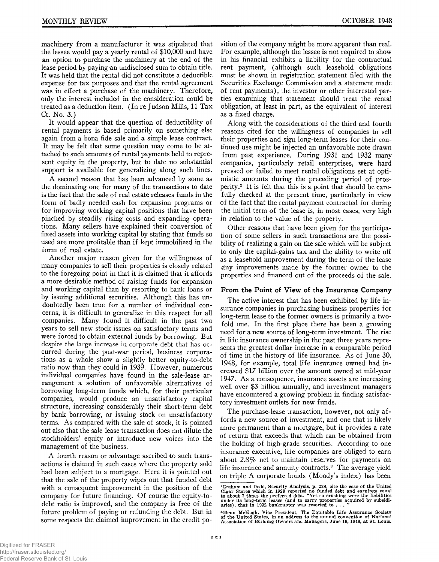machinery from a manufacturer it was stipulated that the lessee would pay a yearly rental of \$10,000 and have an option to purchase the machinery at the end of the lease period by paying an undisclosed sum to obtain title. It was held that the rental did not constitute a deductible expense for tax purposes and that the rental agreement was in effect a purchase of the machinery. Therefore, only the interest included in the consideration could be treated as a deduction item. (In re Judson Mills, 11 Tax Ct. No. 3.)

It would appear that the question of deductibility of rental payments is based primarily on something else again from a bona fide sale and a simple lease contract. It may be felt that some question may come to be attached to such amounts of rental payments held to represent equity in the property, but to date no substantial support is available for generalizing along such lines.

A second reason that has been advanced by some as the dominating one for many of the transactions to date is the fact that the sale of real estate releases funds in the form of badly needed cash for expansion programs or for improving working capital positions that have been pinched by steadily rising costs and expanding operations. Many sellers have explained their conversion of fixed assets into working capital by stating that funds so used are more profitable than if kept immobilized in the form of real estate.

Another major reason given for the willingness of many companies to sell their properties is closely related to the foregoing point in that it is claimed that it affords a more desirable method of raising funds for expansion and working capital than by resorting to bank loans or by issuing additional securities. Although this has undoubtedly been true for a number of individual concerns, it is difficult to generalize in this respect for all companies. Many found it difficult in the past two years to sell new stock issues on satisfactory terms and were forced to obtain external funds by borrowing. But despite the large increase in corporate debt that has occurred during the post-war period, business corporations as a whole show a slightly better equity-to-debt ratio now than they could in 1939. However, numerous individual companies have found in the sale-lease arrangement a solution of unfavorable alternatives of borrowing long-term funds which, for their particular companies, would produce an unsatisfactory capital structure, increasing considerably their short-term debt by bank borrowing, or issuing stock on unsatisfactory terms. As compared with the sale of stock, it is pointed out also that the sale-lease transaction does not dilute the stockholders' equity or introduce new voices into the management of the business.

A fourth reason or advantage ascribed to such transactions is claimed in such cases where the property sold had been subject to a mortgage. Here it is pointed out that the sale of the property wipes out that funded debt with a consequent improvement in the position of the company for future financing. Of course the equity-todebt ratio is improved, and the company is free of the future problem of paying or refunding the debt. But in some respects the claimed improvement in the credit po-

sition of the company might be more apparent than real. For example, although the lessee is not required to show in his financial exhibits a liability for the contractual rent payment, (although such leasehold obligations must be shown in registration statement filed with the Securities Exchange Commission and a statement made of rent payments), the investor or other interested parties examining that statement should treat the rental obligation, at least in part, as the equivalent of interest as a fixed charge.

Along with the considerations of the third and fourth reasons cited for the willingness of companies to sell their properties and sign long-term leases for their continued use might be injected an unfavorable note drawn from past experience. During 1931 and 1932 many companies, particularly retail enterprises, were hard pressed or failed to meet rental obligations set at optimistic amounts during the preceding period of prosperity.2 It is felt that this is a point that should be carefully checked at the present time, particularly in view of the fact that the rental payment contracted for during the initial term of the lease is, in most cases, very high in relation to the value of the property.

Other reasons that have been given for the participation of some sellers in such transactions are the possibility of realizing a gain on the sale which will be subject to only the capital-gains tax and the ability to write off as a leasehold improvement during the term of the lease dny improvements made by the former owner to the properties and financed out of the proceeds of the sale.

#### **From the Point of View of the Insurance Company**

The active interest that has been exhibited by life insurance companies in purchasing business properties for long-term lease to the former owners is primarily a twofold one. In the first place there has been a growing need for a new source of long-term investment. The rise in life insurance ownership in the past three years represents the greatest dollar increase in a comparable period of time in the history of life insurance. As of June 30, 1948, for example, total life insurance owned had increased \$17 billion over the amount owned at mid-year 1947. As a consequence, insurance assets are increasing well over \$3 billion annually, and investment managers have encountered a growing problem in finding satisfactory investment outlets for new funds.

The purchase-lease transaction, however, not only affords a new source of investment, and one that is likely more permanent than a mortgage, but it provides a rate of return that exceeds that which can be obtained from the holding of high-grade securities. According to one insurance executive, life companies are obliged to earn about 2.8% net to maintain reserves for payments on life insurance and annuity contracts.<sup>3</sup> The average yield on triple A corporate bonds (Moody's index) has been

<sup>&</sup>lt;sup>2</sup>Graham and Dodd, Security Analysis, p. 228, cite the case of the United Cigar Stores which in 1928 reported no funded debt and earnings equal to about 7 times the preferred debt. "Yet so crushing were the liabilities u

<sup>&</sup>lt;sup>3</sup>Glenn McHugh, Vice President, The Equitable Life Assurance Society of the United States, in an address to the annual convention of National Association of Building Owners and Managers, June 16, 1948, at St. Louis.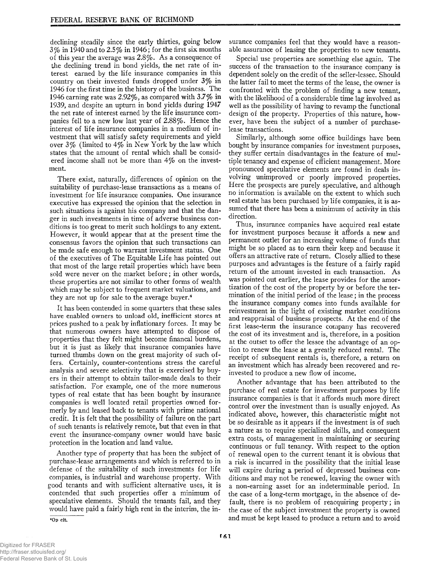declining steadily since the early thirties, going below  $3\%$  in 1940 and to 2.5% in 1946; for the first six months of this year the average was 2.8%. As a consequence of the declining trend in bond yields, the net rate of interest earned by the life insurance companies in this country on their invested funds dropped under 3% in 1946 for the first time in the history of the business. The 1946 earning rate was 2.92%, as compared with 3.7% in 1939, and despite an upturn in bond yields during 1947 the net rate of interest earned by the life insurance companies fell to a new low last year of 2.88%. Hence the interest of life insurance companies in a medium of investment that will satisfy safety requirements and yield over 3% (limited to 4% in New York by the law which states that the amount of rental which shall be considered income shall not be more than 4% on the investment.

There exist, naturally, differences of opinion on the suitability of purchase-lease transactions as a means of investment for life insurance companies. One insurance executive has expressed the opinion that the selection in such situations is against his company and that the danger in such investments in time of adverse business conditions is too great to merit such holdings to any extent. However, it would appear that at the present time the consensus favors the opinion that such transactions can be made safe enough to warrant investment status. One of the executives of The Equitable Life has pointed out that most of the large retail properties which have been sold were never on the market before; in other words, these properties are not similar to other forms of wealth which may be subject to frequent market valuations, and they are not up for sale to the average buyer.4

It has been contended in some quarters that these sales have enabled owners to unload old, inefficient stores at prices pushed to a peak by inflationary forces. It may be that numerous owners have attempted to dispose of properties that they felt might become financal burdens, but it is just as likely that insurance companies have turned thumbs down on the great majority of such offers. Certainly, counter-contentions stress the careful analysis and severe selectivity that is exercised by buyers in their attempt to obtain tailor-made deals to their satisfaction. For example, one of the more numerous types of real estate that has been bought by insurance companies is well located retail properties owned formerly by and leased back to tenants with prime national credit. It is felt that the possibility of failure on the part of such tenants is relatively remote, but that even in that event the insurance-company owner would have basic protection in the location and land value.

Another type of property that has been the subject of purchase-lease arrangements and which is referred to in defense of the suitability of such investments for life companies, is industrial and warehouse property. With good tenants and with sufficient alternative uses, it is contended that such properties offer a minimum of speculative elements. Should the tenants fail, and they would have paid a fairly high rent in the interim, the in-

40 p cit.

surance companies feel that they would have a reasonable assurance of leasing the properties to new tenants.

Special use properties are something else again. The success of the transaction to the insurance company is dependent solely on the credit of the seller-lessee. Should the latter fail to meet the terms of the lease, the owner is confronted with the problem of finding a new tenant, with the likelihood of a considerable time lag involved as well as the possibility of having to revamp the functional design of the property. Properties of this nature, however, have been the subject of a number of purchaselease transactions.

Similarly, although some office buildings have been bought by insurance companies for investment purposes, they suffer certain disadvantages in the feature of multiple tenancy and expense of efficient management. More pronounced speculative elements are found in deals involving unimproved or poorly improved properties. Here the prospects are purely speculative, and although no information is available on the extent to which such real estate has been purchased by life companies, it is assumed that there has been a minimum of activity in this direction.

Thus, insurance companies have acquired real estate for investment purposes because it affords a new and permanent outlet for an increasing volume of funds that might be so placed as to earn their keep and because it offers an attractive rate of return. Closely allied to these purposes and advantages is the feature of a fairly rapid return of the amount invested in each transaction. As was pointed out earlier, the lease provides for the amortization of the cost of the property by or before the termination of the initial period of the lease; in the process the insurance company comes into funds available for reinvestment in the light of existing market conditions and reappraisal of business prospects. At the end of the first lease-term the insurance company has recovered the cost of its investment and is, therefore, in a position at the outset to offer the lessee the advantage of an option to renew the lease at a greatly reduced rental. The receipt of subsequent rentals is, therefore, a return on an investment which has already been recovered and reinvested to produce a new flow of income.

Another advantage that has been attributed to the purchase of real estate for investment purposes by life insurance companies is that it affords much more direct control over the investment than is usually enjoyed. As indicated above, however, this characteristic might not be so desirable as it appears if the investment is of such a nature as to require specialized skills, and consequent extra costs, of management in maintaining or securing continuous or full tenancy. With respect to the option of renewal open to the current tenant it is obvious that a risk is incurred in the possibility that the initial lease will expire during a period of depressed business conditions and may not be renewed, leaving the owner with a non-earning asset for an indeterminable period. In the case of a long-term mortgage, in the absence of default, there is no problem of reacquiring property; in the case of the subject investment the property is owned and must be kept leased to produce a return and to avoid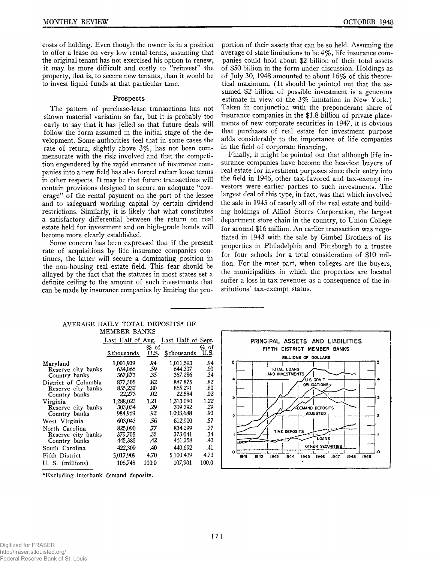costs of holding. Even though the owner is in a position to offer a lease on very low rental terms, assuming that the original tenant has not exercised his option to renew, it may be more difficult and costly to "reinvest" the property, that is, to secure new tenants, than it would be to invest liquid funds at that particular time.

#### **Prospects**

The pattern of purchase-lease transactions has not shown material variation so far, but it is probably too early to say that it has jelled so that future deals will follow the form assumed in the initial stage of the development. Some authorities feel that in some cases the rate of return, slightly above  $3\%$ , has not been commensurate with the risk involved and that the competition engendered by the rapid entrance of insurance companies into a new field has also forced rather loose terms in other respects. It may be that future transactions will contain provisions designed to secure an adequate "coverage" of the rental payment on the part of the lessee and to safeguard working capital by certain dividend restrictions. Similarly, it is likely that what constitutes a satisfactory differential between the return on real estate held for investment and on high-grade bonds will become more clearly established.

Some concern has been expressed that if the present rate of acquisitions by life insurance companies continues, the latter will secure a dominating position in the non-housing real estate field. This fear should be allayed by the fact that the statutes in most states set a definite ceiling to the amount of such investments that can be made by insurance companies by limiting the proportion of their assets that can be so held. Assuming the average of state limitations to be  $4\%$ , life insurance companies could hold about \$2 billion of their total assets of \$50 billion in the form under discussion. Holdings as of July 30, 1948 amounted to about 16% of this theoretical maximum. (It should be pointed out that the assumed \$2 billion of possible investment is a generous estimate in view of the 3% limitation in New York.) Taken in conjunction with the preponderant share of insurance companies in the \$1.8 billion of private placements of new corporate securities in 1947, it is obvious that purchases of real estate for investment purpose adds considerably to the importance of life companies in the field of corporate financing.

Finally, it might be pointed out that although life insurance companies have become the heaviest buyers of real estate for investment purposes since their entry into the field in 1946, other tax-favored and tax-exempt investors were earlier parties to such investments. The largest deal of this type, in fact, was that which involved the sale in 1945 of nearly all of the real estate and building holdings of Allied Stores Corporation, the largest department store chain in the country, to Union College for around \$16 million. An earlier transaction was negotiated in 1943 with the sale by Gimbel Brothers of its properties in Philadelphia and Pittsburgh to a trustee for four schools for a total consideration of \$10 million. For the most part, when colleges are the buyers, the municipalities in which the properties are located suffer a loss in tax revenues as a consequence of the institutions' tax-exempt status.

| MEMBER BANKS         |                                      |                 |             |                 |  |
|----------------------|--------------------------------------|-----------------|-------------|-----------------|--|
|                      | Last Half of Aug. Last Half of Sept. |                 |             |                 |  |
|                      | \$thousands                          | $\%$ of<br>U.S. | \$thousands | $\%$ of<br>U.S. |  |
| Marvland             | 1,001,939                            | .94             | 1,011,593   | .94             |  |
| Reserve city banks   | 634,066                              | .59             | 644.307     | .60             |  |
| Country banks        | 367,873                              | .35             | 367,286     | .34             |  |
| District of Columbia | 877,505                              | .82             | 887,875     | .82             |  |
| Reserve city banks   | 855,232                              | .80             | 865,291     | .80             |  |
| Country banks        | 22,273                               | .02             | 22,584      | .02             |  |
| Virginia             | 1,288,023                            | 1.21            | 1,313.080   | 1.22            |  |
| Reserve city banks   | 303,054                              | .29             | 309,392     | .29             |  |
| Country banks        | 984,969                              | .92             | 1,003,688   | .93             |  |
| West Virginia        | 603,043                              | .56             | 612,900     | .57             |  |
| North Carolina       | 825,090                              | .77             | 834,299     | .77             |  |
| Reserve city banks   | 379,705                              | .35             | 373,041     | .34             |  |
| Country banks        | 445,385                              | .42             | 461,258     | .43             |  |
| South Carolina       | 422,309                              | .40             | 440,692     | .41             |  |
| Fifth District       | 5,017,909                            | 4.70            | 5,100,439   | 4.73            |  |
| U. S. (millions)     | 106,748                              | 100.0           | 107.901     | 100.0           |  |

### **AVERAGE DAILY TOTAL DEPOSITS\* OF MEMBER BANKS**



**♦Excluding interbank demand deposits.**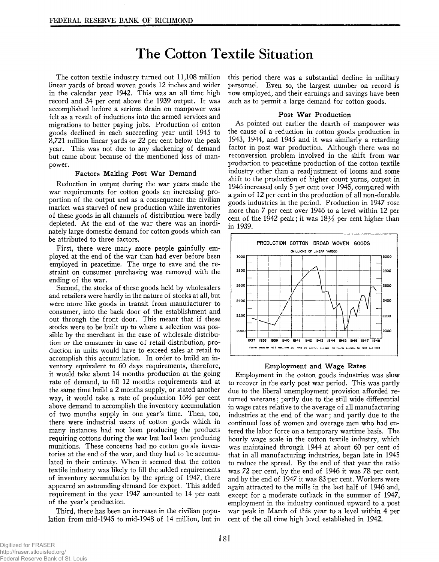# **The Cotton Textile Situation**

The cotton textile industry turned out 11,108 million linear yards of broad woven goods 12 inches and wider in the calendar year 1942. This was an all time high record and 34 per cent above the 1939 output. It was accomplished before a serious drain on manpower was felt as a result of inductions into the armed services and migrations to better paying jobs. Production of cotton goods declined in each succeeding year until 1945 to 8,721 million linear yards or 22 per cent below the peak year. This was not due to any slackening of demand but came about because of the mentioned loss of manpower.

#### **Factors Making Post War Demand**

Reduction in output during the war years made the war requirements for cotton goods an increasing proportion of the output and as a consequence the civilian market was starved of new production while inventories of these goods in all channels of distribution were badly depleted. At the end of the war there was an inordinately large domestic demand for cotton goods which can be attributed to three factors.

First, there were many more people gainfully employed at the end of the war than had ever before been employed in peacetime. The urge to save and the restraint on consumer purchasing was removed with the ending of the war.

Second, the stocks of these goods held by wholesalers and retailers were hardly in the nature of stocks at all, but were more like goods in transit from manufacturer to consumer, into the back door of the establishment and out through the front door. This meant that if these stocks were to be built up to where a selection was possible by the merchant in the case of wholesale distribution or the consumer in case of retail distribution, production in units would have to exceed sales at retail to accomplish this accumulation. In order to build an inventory equivalent to 60 days requirements, therefore, it would take about 14 months production at the going rate of demand, to fill 12 months requirements and at the same time build a 2 months supply, or stated another way, it would take a rate of production 16% per cent above demand to accomplish the inventory accumulation of two months supply in one year's time. Then, too, there were industrial users of cotton goods which in many instances had not been producing the products requiring cottons during the war but had been producing munitions. These concerns had no cotton goods inventories at the end of the war, and they had to be accumulated in their entirety. When it seemed that the cotton textile industry was likely to fill the added requirements of inventory accumulation by the spring of 1947, there appeared an astounding demand for export. This added requirement in the year 1947 amounted to 14 per cent of the year's production.

Third, there has been an increase in the civilian population from mid-1945 to mid-1948 of 14 million, but in this period there was a substantial decline in military personnel. Even so, the largest number on record is now employed, and their earnings and savings have been such as to permit a large demand for cotton goods.

#### **Post War Production**

As pointed out earlier the dearth of manpower was the cause of a reduction in cotton goods production in 1943, 1944, and 1945 and it was similarly a retarding factor in post war production. Although there was no reconversion problem involved in the shift from war production to peacetime production of the cotton textile industry other than a readjustment of looms and some shift to the production of higher count yarns, output in 1946 increased only 5 per cent over 1945, compared with a gain of 12 per cent in the production of all non-durable goods industries in the period. Production in 1947 rose more than 7 per cent over 1946 to a level within 12 per cent of the 1942 peak; it was  $18\frac{1}{2}$  per cent higher than in 1939.



#### **Employment and Wage Rates**

Employment in the cotton goods industries was slow to recover in the early post war period. This was partly due to the liberal unemployment provision afforded returned veterans; partly due to the still wide differential in wage rates relative to the average of all manufacturing industries at the end of the war; and partly due to the continued loss of women and overage men who had entered the labor force on a temporary wartime basis. The hourly wage scale in the cotton textile industry, which was maintained through 1944 at about 60 per cent of that in all manufacturing industries, began late in 1945 to reduce the spread. By the end of that year the ratio was 72 per cent, by the end of 1946 it was 78 per cent, and by the end of 1947 it was 83 per cent. Workers were again attracted to the mills in the last half of 1946 and, except for a moderate cutback in the summer of 1947, employment in the industry continued upward to a post war peak in March of this year to a level within 4 per cent of the all time high level established in 1942.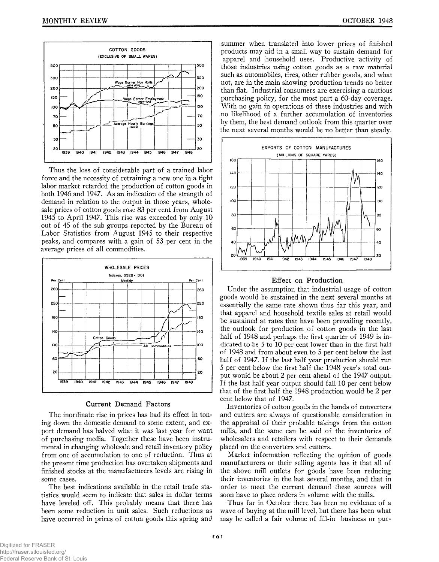

Thus the loss of considerable part of a trained labor force and the necessity of retraining a new one in a tight labor market retarded the production of cotton goods in both 1946 and 1947. As an indication of the strength of demand in relation to the output in those years, wholesale prices of cotton goods rose 83 per cent from August 1945 to April 1947. This rise was exceeded by only 10 out of 45 of the sub groups reported by the Bureau of Labor Statistics from August 1945 to their respective peaks, land compares with a gain of 53 per cent in the average prices of all commodities.



#### **Current Demand Factors**

The inordinate rise in prices has had its effect in toning down the domestic demand to some extent, and export demand has halved what it was last year for want of purchasing media. Together these have been instrumental in changing wholesale and retail inventory policy from one of accumulation to one of reduction. Thus at the present time production has overtaken shipments and finished stocks at the manufacturers levels are rising in some cases.

The best indications available in the retail trade statistics would seem to indicate that sales in dollar terms have leveled off. This probably means that there has been some reduction in unit sales. Such reductions as have occurred in prices of cotton goods this spring and

summer when translated into lower prices of finished products may aid in a small way to sustain demand for apparel and household uses. Productive activity of those industries using cotton goods as a raw material such as automobiles, tires, other rubber goods, and what not, are in the main showing production trends no better than flat. Industrial consumers are exercising a cautious purchasing policy, for the most part a 60-day coverage. With no gain in operations of these industries and with no likelihood of a further accumulation of inventories by them, the best demand outlook from this quarter over the next several months would be no better than steady.



#### **Effect on Production**

Under the assumption that industrial usage of cotton goods would be sustained in the next several months at essentially the same rate shown thus far this year, and that apparel and household textile sales at retail would be sustained at rates that have been prevailing recently, the outlook for production of cotton goods in the last half of 1948 and perhaps the first quarter of 1949 is indicated to be 5 to 10 per cent lower than in the first half of 1948 and from about even to 5 per cent below the last half of 1947. If the last half year production should run 5 per cent below the first half the 1948 year's total output would be about 2 per cent ahead of the 1947 output. If the last half year output should fall 10 per cent below that of the first half the 1948 production would be 2 per cent below that of 1947.

Inventories of cotton goods in the hands of converters and cutters are always of questionable consideration in the appraisal of their probable takings from the cotton mills, and the same can be said of the inventories of wholesalers and retailers with respect to their demands placed on the converters and cutters.

Market information reflecting the opinion of goods manufacturers or their selling agents has it that all of the above mill outlets for goods have been reducing their inventories in the last several months, and that in order to meet the current demand these sources will soon have to place orders in volume with the mills.

Thus far in October there has been no evidence of a wave of buying at the mill level, but there has been what may be called a fair volume of fill-in business or pur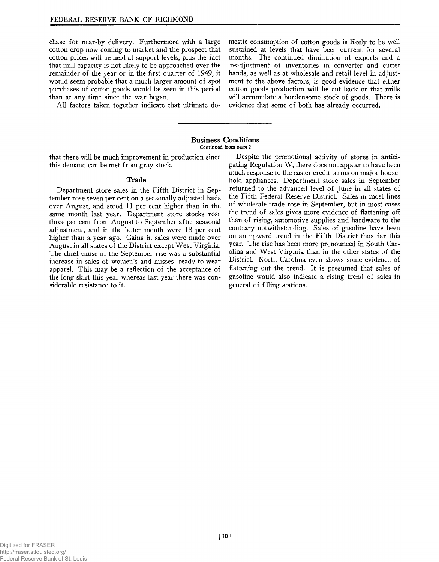chase for near-by delivery. Furthermore with a large cotton crop now coming to market and the prospect that cotton prices will be held at support levels, plus the fact that mill capacity is not likely to be approached over the remainder of the year or in the first quarter of 1949, it would seem probable that a much larger amount of spot purchases of cotton goods would be seen in this period than at any time since the war began.

All factors taken together indicate that ultimate do-

mestic consumption of cotton goods is likely to be well sustained at levels that have been current for several months. The continued diminution of exports and a readjustment of inventories in converter and cutter hands, as well as at wholesale and retail level in adjustment to the above factors, is good evidence that either cotton goods production will be cut back or that mills will accumulate a burdensome stock of goods. There is evidence that some of both has already occurred.

#### **Business Conditions** Continued from page 2

that there will be much improvement in production since this demand can be met from gray stock.

#### **Trade**

Department store sales in the Fifth District in September rose seven per cent on a seasonally adjusted basis over August, and stood 11 per cent higher than in the same month last year. Department store stocks rose three per cent from August to September after seasonal adjustment, and in the latter month were 18 per cent higher than a year ago. Gains in sales were made over August in all states of the District except West Virginia. The chief cause of the September rise was a substantial increase in sales of women's and misses' ready-to-wear apparel. This may be a reflection of the acceptance of the long skirt this year whereas last year there was considerable resistance to it.

Despite the promotional activity of stores in anticipating Regulation W, there does not appear to have been much response to the easier credit terms on major household appliances. Department store sales in September returned to the advanced level of June in all states of the Fifth Federal Reserve District. Sales in most lines of wholesale trade rose in September, but in most cases the trend of sales gives more evidence of flattening off than of rising, automotive supplies and hardware to the contrary notwithstanding. Sales of gasoline have been on an upward trend in the Fifth District thus far this year. The rise has been more pronounced in South Carolina and West Virginia than in the other states of the District. North Carolina even shows some evidence of flattening out the trend. It is presumed that sales of gasoline would also indicate a rising trend of sales in general of filling stations.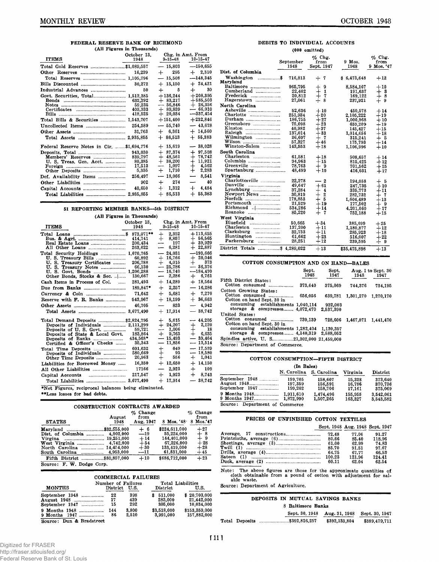## FEDERAL RESERVE BANK OF RICHMOND

|                                              | (All Figures in Thousands)                      |                                                                  |                                                                              |  |  |  |
|----------------------------------------------|-------------------------------------------------|------------------------------------------------------------------|------------------------------------------------------------------------------|--|--|--|
| <b>ITEMS</b>                                 | October 13.<br>1948                             | Chg. in Amt. From<br>9-15-48                                     | 10-15-47                                                                     |  |  |  |
| Total Gold Reserves \$1,089,557              |                                                 | $-15,803$                                                        | $-150,655$                                                                   |  |  |  |
|                                              | 16.239                                          | 295<br>$+$ $-$                                                   | $+$ 2,310                                                                    |  |  |  |
|                                              |                                                 | $-15,508$                                                        | $-148,345$                                                                   |  |  |  |
|                                              | 30,272                                          | $+15,150$                                                        | $+24,421$                                                                    |  |  |  |
|                                              | 50                                              | $+$ $-$<br>5                                                     | 30<br>$+$ $-$                                                                |  |  |  |
| Govt. Securities, Total 1,513,385            | 632,292<br>59.235<br>403,333<br>418,525         | $+136,244$<br>$+83,217$<br>$-56.846$<br>$+89,839$<br>$+20.034$   | $+208.395$<br>$+585,503$<br>$+26,356$<br>$-66,010$<br>$-337,454$             |  |  |  |
| Total Bills & Securities  1,543,707          |                                                 | $+151,400$                                                       | $+232,846$                                                                   |  |  |  |
|                                              | 254.589                                         | $-55,740$                                                        | $-43,678$                                                                    |  |  |  |
|                                              | 31,763                                          | $+$ 6,361                                                        | $+14,560$                                                                    |  |  |  |
|                                              |                                                 | $+86.513$                                                        | $+ 55,383$                                                                   |  |  |  |
| Federal Reserve Notes in Cir. \$1,694,776    |                                                 | $+15,619$                                                        | $-38,028$                                                                    |  |  |  |
| Members' Reserves<br>U. S. Treas. Gen. Acct. | 943.030<br>839,797<br>80,385<br>17,513<br>5.335 | 87,374<br>$+$<br>$+48,561$<br>$+38,200$<br>$-1.097$<br>$+ 1.710$ | 97.508<br>$+$<br>$+78.742$<br>$+$ 11.921<br>4,562<br>$+$ $-$<br>2,283<br>$+$ |  |  |  |
|                                              | 256,497                                         | 18,066                                                           | 8,541<br>$\overline{\phantom{0}}$                                            |  |  |  |
|                                              | 902                                             | 274<br>$+$ $-$                                                   | 40                                                                           |  |  |  |
|                                              | 40,650                                          | 1,312<br>$+$                                                     | 4,484<br>$+$ .                                                               |  |  |  |
|                                              |                                                 | $+86,513$                                                        | $+ 55,383$                                                                   |  |  |  |

#### 51 REPORTING MEMBER BANKS— 5th DISTRICT

(All Figures in Thousands)

|                                                                                                                                                         | October 13.                            |                                                                              | Chg. in Amt. From                                                                |
|---------------------------------------------------------------------------------------------------------------------------------------------------------|----------------------------------------|------------------------------------------------------------------------------|----------------------------------------------------------------------------------|
| <b>ITEMS</b>                                                                                                                                            | 1948                                   | $9 - 15 - 48$                                                                | $10 - 15 - 47$                                                                   |
|                                                                                                                                                         | 414,741<br>200.434<br>263,622          | $+$<br>2.352<br>$+$<br>8.857<br>197<br>$-$<br>6,281                          | $+113,655$<br>$+ 56,565$<br>$+39.929$<br>$+22,887$                               |
| Total Security Holdings  1,670,765<br>U. S. Treasury Certificates<br>U. S. Treasury Notes<br>U. S. Govt. Bonds  1,206,288<br>Other Bonds, Stocks & Sec. | 60.892<br>206.788<br>66,130<br>130.667 | $-24.031$<br>$+16,766$<br>$+ 4.015$<br>$-25.786$<br>$-16,740$<br>$-2,286$    | $-193,666$<br>$+20.046$<br>373<br>$+$ $-$<br>$-86.376$<br>--184.470<br>$+$ 6,761 |
| Cash Items in Process of Col.                                                                                                                           | 281,493                                | $+14,289$                                                                    | $+18,564$                                                                        |
|                                                                                                                                                         | 189.847*                               | $+2,257$                                                                     | $-16.286$                                                                        |
|                                                                                                                                                         | 71,642                                 | 5.681<br>$+$ .                                                               | $+7,270$                                                                         |
| Reserve with F. R. Banks                                                                                                                                | 543,967                                | $+18.199$                                                                    | $+36,663$                                                                        |
|                                                                                                                                                         | 46,705                                 | 833                                                                          | $-4.942$                                                                         |
|                                                                                                                                                         |                                        | $+17.914$                                                                    | $-38.742$                                                                        |
| Total Demand Deposits  \$2,824,795<br>Deposits of Individuals  2,111,299<br>Deposits of State & Local Govt.<br>Certified & Officer's Checks             | 183,864<br>434,568*<br>35,343          | 5,615<br>$+$<br>$+24,207$<br>$-1.006$<br>$+$ 9,763<br>$-15,493$<br>$-11,856$ | $-44.205$<br>2,120<br>$+$ $-$<br>18<br>6,635<br>$+$<br>$-39,464$<br>$-13.514$    |
| Deposits of Individuals<br>Other Time Deposits                                                                                                          | 601,632<br>580,669<br>20,963           | 649<br>$\ddot{}$<br>93<br>$+$ $-$<br>556                                     | 17.539<br>—<br>$-18.580$<br>1,041<br>$+$                                         |
| Liabilities for Borrowed Money                                                                                                                          | 16,350                                 | $+12,650$                                                                    | $+14,150$                                                                        |
|                                                                                                                                                         | 17166                                  | 2,923<br>$\overline{\phantom{0}}$                                            | 109<br>$+$ $-$                                                                   |
|                                                                                                                                                         | 217.547                                | 1,923<br>$+$                                                                 | 8,743<br>$+$                                                                     |
|                                                                                                                                                         |                                        | $+ 17,914$                                                                   | $-38,742$                                                                        |

♦Net Figures, reciprocal balances being eliminated.

♦♦Less losses for bad debts.

| CONSTRUCTION CONTRACTS AWARDED                                                                                                                                                            |                                                    |                                                                                       |                                                  |
|-------------------------------------------------------------------------------------------------------------------------------------------------------------------------------------------|----------------------------------------------------|---------------------------------------------------------------------------------------|--------------------------------------------------|
| August<br><b>STATES</b><br>1948                                                                                                                                                           | Change<br>%<br>from<br>Aug. 1947                   | $8$ Mos. '48.                                                                         | Change<br>from<br>8 Mos.'47                      |
| \$32.555,000<br>Marvland<br>4,902,000<br>Dist. of Columbia<br>19.251,000<br>Virgina<br><br>West Virginia<br>4.742.000<br>14.454.000<br>North Carolina<br>.<br>4.953,000<br>South Carolina | $+$ 6<br>$-19$<br>$+14$<br>$+54$<br>$+30$<br>---11 | \$224,611,000<br>55.224.000<br>144.401.000<br>67,226,000<br>133,419,000<br>61,831,000 | $+27$<br>$+8$<br>$+9$<br>$+28$<br>$+28$<br>$+45$ |
| Source:<br>F. W. Dodge Corp.                                                                                                                                                              | $+10$                                              | \$686.712.000                                                                         | $+23$                                            |

|                                                 |                                | <b>COMMERCIAL FAILURES</b> |                               |                   |                                          |
|-------------------------------------------------|--------------------------------|----------------------------|-------------------------------|-------------------|------------------------------------------|
| <b>MONTHS</b>                                   | Number of Failures<br>District | U.S.                       | District                      | Total Liabilities | U.S.                                     |
| September 1948<br>August 1948<br>September 1947 | 22<br>17<br>15                 | 398<br>439<br>292          | 511.000<br>283,000<br>305,000 |                   | \$20,703,000<br>21.442,000<br>10.034,000 |
| 9 Months 1947<br>Source: Dun & Bradstreet       | 144<br>86                      | 3.800<br>2.510             | \$3,518,000<br>3.991.000      |                   | \$153,359,000<br>157,882,000             |

#### DEBITS TO INDIVIDUAL ACCOUNTS (000 omitted)

|                                                                                         |                                                                                            | $(\mathbf{v} \mathbf{v} \mathbf{v} \mathbf{u})$                              |                                                                                                         |                                                                              |
|-----------------------------------------------------------------------------------------|--------------------------------------------------------------------------------------------|------------------------------------------------------------------------------|---------------------------------------------------------------------------------------------------------|------------------------------------------------------------------------------|
|                                                                                         | September<br>1948                                                                          | $\%$ Chg.<br>from<br>Sept. 1947                                              | $9$ Mos.<br>1948                                                                                        | $\%$ Chg.<br>from<br>9 Mos. '47                                              |
| Dist. of Columbia                                                                       |                                                                                            |                                                                              |                                                                                                         |                                                                              |
| Washington \$<br>Maryland                                                               | 716,813                                                                                    | + 7                                                                          | \$6,473,648                                                                                             | $+12$                                                                        |
| Baltimore<br>Cumberland<br>Hagerstown                                                   | 965,795<br>22,402<br>20.812<br>27.061                                                      | -9<br>┿<br>1<br>7<br>∔<br>8                                                  | 8.584.167<br>191,637<br>169,122<br>237,921                                                              | $+10$<br>- 3<br>┿<br>$+$ 8<br>$+9$                                           |
| North Carolina                                                                          |                                                                                            |                                                                              |                                                                                                         |                                                                              |
| Asheville<br>Charlotte<br>Durham<br>Greensboro<br>Wilmington<br>Wilson<br>Winston-Salem | 52,636<br>251,934<br>186,755<br>75,098<br>40,982<br>137,014<br>36,607<br>57,327<br>143,553 | $+10$<br>$+20$<br>$+27$<br>$+23$<br>$+37$<br>$+33$<br>$+7$<br>$+46$<br>$+18$ | 450,578<br>2,105,222<br>1,000,968<br>659,209<br>145,427<br>1,014,656<br>315,241<br>175,793<br>1,106,996 | $+14$<br>$+19$<br>$+10$<br>$+19$<br>$+15$<br>$+18$<br>$+5$<br>$+14$<br>$+10$ |
| South Carolina                                                                          |                                                                                            |                                                                              |                                                                                                         |                                                                              |
| Columbia<br>Greenville<br>Spartanburg                                                   | 61.581<br>94,963<br>78.763<br>48.499                                                       | $+18$<br>$+15$<br>$+9$<br>$+10$                                              | 508,657<br>815,425<br>701,562<br>416.031                                                                | $+14$<br>$+12$<br>$+15$<br>$+17$                                             |
| Virginia                                                                                |                                                                                            |                                                                              |                                                                                                         |                                                                              |
| Charlottesville<br>Lynchburg<br>Newport News<br>Portsmouth<br>Richmond<br>Roanoke       | 22,278<br>49,647<br>37,284<br>30,819<br>178,853<br>21.529<br>534,286<br>85,220             | $-2$<br>$+61$<br>$+$ 4<br>$+$ 2<br>$+5$<br>$+19$<br>$+14$<br>$+$ 7           | 194,058<br>247,735<br>335,773<br>282,732<br>1,604,489<br>177,502<br>4,201,060<br>752.188                | $+$ 5<br>$+10$<br>$+11$<br>$+7$<br>$+13$<br>$+9$<br>$+17$<br>$+15$           |
| West Virginia                                                                           |                                                                                            |                                                                              |                                                                                                         |                                                                              |
| Bluefield<br>Charleston<br>Clarksburg<br><br>Huntington<br>Parkersburg                  | 50.665<br>137,200<br>32,733<br>61,662<br>28,251                                            | $+34$<br>$+11$<br>$+11$<br>$+23$<br>$+12$                                    | 385,699<br>1,180,877<br>285,923<br>516,007<br>239,595                                                   | $+25$<br>$+12$<br>$+18$<br>$+22$<br>$+9$                                     |
| District Totals  \$4,289,022                                                            |                                                                                            | $+13$                                                                        | \$35,475,898                                                                                            | $+13$                                                                        |
|                                                                                         |                                                                                            |                                                                              |                                                                                                         |                                                                              |

#### COTTON CONSUMPTION AND ON HAND-BALES

|                                               | Sept.<br>1948 | Sept.<br>1947 | 1948      | Aug. 1 to Sept. 30<br>1947 |
|-----------------------------------------------|---------------|---------------|-----------|----------------------------|
| Fifth District States:<br>Cotton consumed     | 373.640       | 375,069       | 744.376   | 734,195                    |
| Cotton Growing States:                        |               |               |           |                            |
| Cotton consumed<br>Cotton on hand Sept. 30 in | 656.056       | 639,781       | 1,301,270 | 1,270,170                  |
| consuming establishments 1,040,114            |               | 932,003       |           |                            |
| storage $\&$ compresses 4.072.470             |               | 2.537.390     |           |                            |
| United States:                                |               |               |           |                            |
| Cotton consumed<br>Cotton on hand Sept. 30 in | 739,139       | 728,606       |           | 1,467,871 1,441,470        |
| consuming establishments 1,282,404            |               | 1.139.357     |           |                            |
| storage $\&$ compresses 4,140,319             |               | 2,588,052     |           |                            |
| Spindles active, U. S21,302,000 21,459,000    |               |               |           |                            |
| Source: Department of Commerce.               |               |               |           |                            |

|                                                 |                               | COTTON CONSUMPTION-FIFTH DISTRICT |                            |                               |
|-------------------------------------------------|-------------------------------|-----------------------------------|----------------------------|-------------------------------|
| (In Bales)                                      |                               |                                   |                            |                               |
|                                                 | N. Carolina                   | S. Carolina                       | Virginia                   | District                      |
| September 1948<br>August 1948<br>September 1947 | 199.705<br>197,359<br>199.202 | 158,607<br>156,591<br>158,706     | 15.328<br>16.786<br>17.161 | 373.640<br>370.736<br>375,069 |
| 9 Months 1948<br>9 Months 1947                  | 1.911.610<br>1,872,990        | 1,474,496<br>1,507,265            | 155,955<br>163.327         | 3,542,061<br>3.543.582        |
| Source: Department of Commerce                  |                               |                                   |                            |                               |

| PRICES OF UNFINISHED COTTON TEXTILES |        |                                 |        |
|--------------------------------------|--------|---------------------------------|--------|
|                                      |        | Sept. 1948 Aug. 1948 Sept. 1947 |        |
|                                      | 72.48  | 77.06                           | 91.27  |
|                                      |        | 85.40                           | 118.96 |
|                                      | 61.00  | 62.99                           | 74.83  |
|                                      | 85.70  | 91.51                           | 97.67  |
|                                      | 64.75  | 67.77                           | 66.53  |
|                                      | 100.23 | 121.96                          | 124.41 |
|                                      |        | 62.04                           | 62.54  |

Commerce

Note: The above figures are those for the approximate quantities of cloth obtainable from a pound of cotton with adjustment for sal-<br>able waste.

Source: Department of Agriculture.

|                   |  |  | DEPOSITS IN MUTUAL SAVINGS BANKS |               |                |  |  |
|-------------------|--|--|----------------------------------|---------------|----------------|--|--|
| 8 Baltimore Banks |  |  |                                  |               |                |  |  |
|                   |  |  | Sept. 30, 1948                   | Aug. 31, 1948 | Sept. 30, 1947 |  |  |
|                   |  |  | Total Deposits \$392,826,257     | \$392,133,804 | \$389,479,711  |  |  |